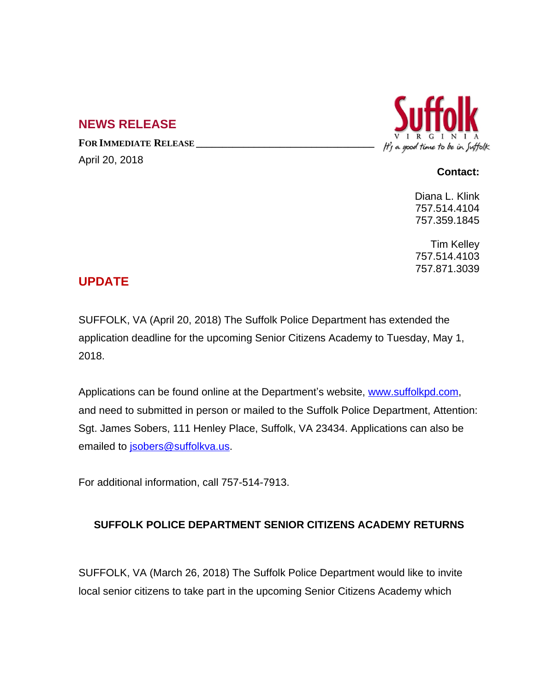## **NEWS RELEASE**

**FOR IMMEDIATE RELEASE \_\_\_\_\_\_\_\_\_\_\_\_\_\_\_\_\_\_\_\_\_\_\_\_\_\_\_\_\_\_\_\_\_\_** April 20, 2018



## **Contact:**

Diana L. Klink 757.514.4104 757.359.1845

Tim Kelley 757.514.4103 757.871.3039

## **UPDATE**

SUFFOLK, VA (April 20, 2018) The Suffolk Police Department has extended the application deadline for the upcoming Senior Citizens Academy to Tuesday, May 1, 2018.

Applications can be found online at the Department's website, [www.suffolkpd.com,](http://www.suffolkpd.com) and need to submitted in person or mailed to the Suffolk Police Department, Attention: Sgt. James Sobers, 111 Henley Place, Suffolk, VA 23434. Applications can also be emailed to [jsobers@suffolkva.us.](mailto:jsobers@suffolkva.us)

For additional information, call 757-514-7913.

## **SUFFOLK POLICE DEPARTMENT SENIOR CITIZENS ACADEMY RETURNS**

SUFFOLK, VA (March 26, 2018) The Suffolk Police Department would like to invite local senior citizens to take part in the upcoming Senior Citizens Academy which